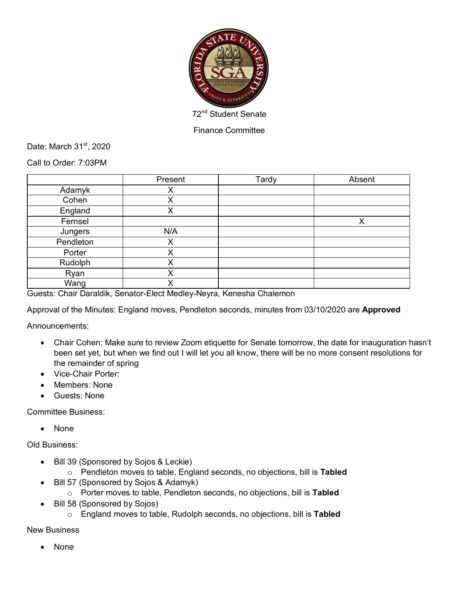

Finance Committee

Date: March 31<sup>st</sup>, 2020

Call to Order: 7:03PM

|           | Present | Tardy | Absent |
|-----------|---------|-------|--------|
| Adamyk    | Χ       |       |        |
| Cohen     | Χ       |       |        |
| England   | Χ       |       |        |
| Fernsel   |         |       | X      |
| Jungers   | N/A     |       |        |
| Pendleton | Χ       |       |        |
| Porter    | X       |       |        |
| Rudolph   | Χ       |       |        |
| Ryan      | Χ       |       |        |
| Wang      | v       |       |        |

Guests: Chair Daraldik, Senator-Elect Medley-Neyra, Kenesha Chalemon

Approval of the Minutes: England moves, Pendleton seconds, minutes from 03/10/2020 are **Approved**

Announcements:

- Chair Cohen: Make sure to review Zoom etiquette for Senate tomorrow, the date for inauguration hasn't been set yet, but when we find out I will let you all know, there will be no more consent resolutions for the remainder of spring
- Vice-Chair Porter:
- Members: None
- Guests: None

Committee Business:

• None

Old Business:

- Bill 39 (Sponsored by Sojos & Leckie)
	- o Pendleton moves to table, England seconds, no objections, bill is **Tabled**
- Bill 57 (Sponsored by Sojos & Adamyk)
	- o Porter moves to table, Pendleton seconds, no objections, bill is **Tabled**
- Bill 58 (Sponsored by Sojos)
	- o England moves to table, Rudolph seconds, no objections, bill is **Tabled**

New Business

• None